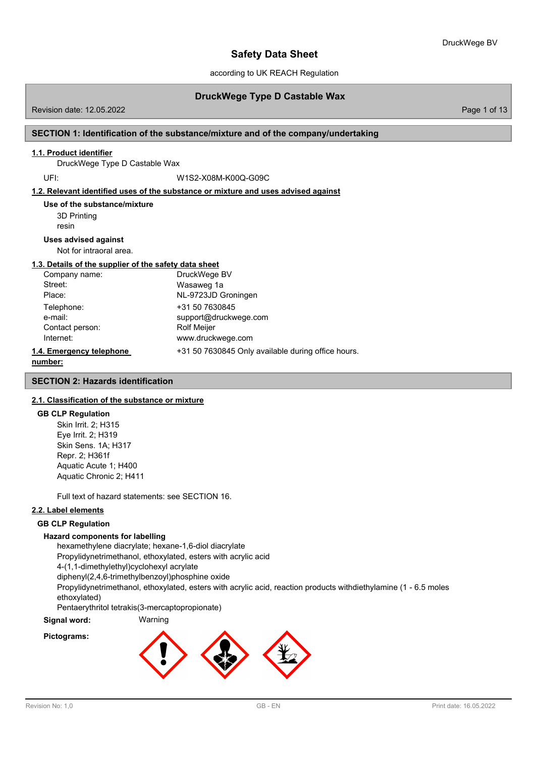according to UK REACH Regulation

## **DruckWege Type D Castable Wax**

Revision date: 12.05.2022 Page 1 of 13

## **SECTION 1: Identification of the substance/mixture and of the company/undertaking**

### **1.1. Product identifier**

DruckWege Type D Castable Wax

UFI: W1S2-X08M-K00Q-G09C

### **1.2. Relevant identified uses of the substance or mixture and uses advised against**

3D Printing resin **Use of the substance/mixture**

#### **Uses advised against**

Not for intraoral area.

## **1.3. Details of the supplier of the safety data sheet**

| Company name:            | DruckWege BV                                       |
|--------------------------|----------------------------------------------------|
| Street:                  | Wasaweg 1a                                         |
| Place:                   | NL-9723JD Groningen                                |
| Telephone:               | +31 50 7630845                                     |
| e-mail:                  | support@druckwege.com                              |
| Contact person:          | <b>Rolf Meijer</b>                                 |
| Internet:                | www.druckwege.com                                  |
| 1.4. Emergency telephone | +31 50 7630845 Only available during office hours. |
|                          |                                                    |

```
number:
```
#### **SECTION 2: Hazards identification**

## **2.1. Classification of the substance or mixture**

#### **GB CLP Regulation**

Skin Irrit. 2; H315 Eye Irrit. 2; H319 Skin Sens. 1A; H317 Repr. 2; H361f Aquatic Acute 1; H400 Aquatic Chronic 2; H411

Full text of hazard statements: see SECTION 16.

## **2.2. Label elements**

### **GB CLP Regulation**

## **Hazard components for labelling**

hexamethylene diacrylate; hexane-1,6-diol diacrylate

Propylidynetrimethanol, ethoxylated, esters with acrylic acid

4-(1,1-dimethylethyl)cyclohexyl acrylate

diphenyl(2,4,6-trimethylbenzoyl)phosphine oxide

Propylidynetrimethanol, ethoxylated, esters with acrylic acid, reaction products withdiethylamine (1 - 6.5 moles ethoxylated)

Pentaerythritol tetrakis(3-mercaptopropionate)

# **Signal word:** Warning

## **Pictograms:**

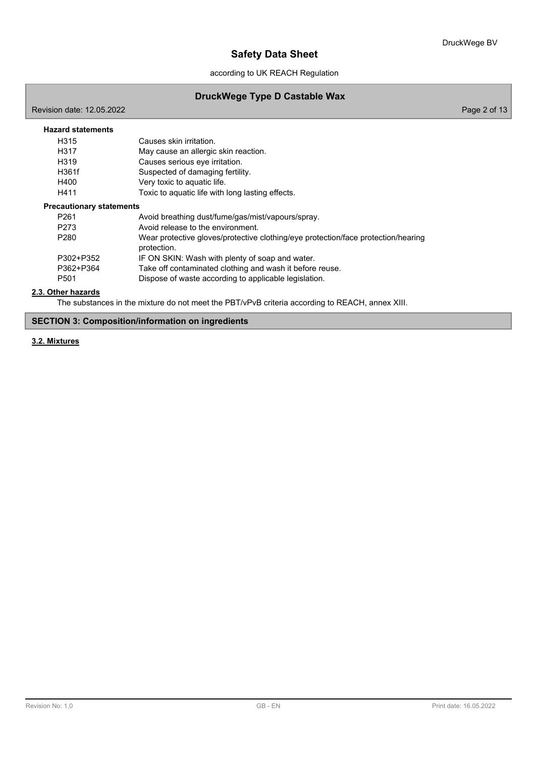according to UK REACH Regulation

# **DruckWege Type D Castable Wax**

Revision date: 12.05.2022 **Page 2 of 13** 

| <b>Hazard statements</b>        |                                                                                                  |
|---------------------------------|--------------------------------------------------------------------------------------------------|
|                                 |                                                                                                  |
| H315                            | Causes skin irritation.                                                                          |
| H317                            | May cause an allergic skin reaction.                                                             |
| H <sub>319</sub>                | Causes serious eye irritation.                                                                   |
| H361f                           | Suspected of damaging fertility.                                                                 |
| H400                            | Very toxic to aquatic life.                                                                      |
| H411                            | Toxic to aquatic life with long lasting effects.                                                 |
| <b>Precautionary statements</b> |                                                                                                  |
| P <sub>261</sub>                | Avoid breathing dust/fume/gas/mist/vapours/spray.                                                |
| P273                            | Avoid release to the environment.                                                                |
| P <sub>280</sub>                | Wear protective gloves/protective clothing/eye protection/face protection/hearing<br>protection. |
| P302+P352                       | IF ON SKIN: Wash with plenty of soap and water.                                                  |
| P362+P364                       | Take off contaminated clothing and wash it before reuse.                                         |
| P <sub>501</sub>                | Dispose of waste according to applicable legislation.                                            |

## **2.3. Other hazards**

The substances in the mixture do not meet the PBT/vPvB criteria according to REACH, annex XIII.

## **SECTION 3: Composition/information on ingredients**

## **3.2. Mixtures**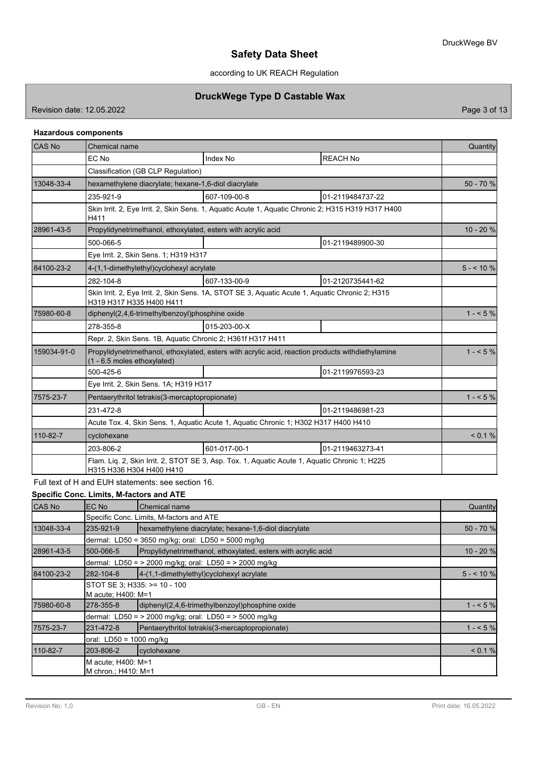according to UK REACH Regulation

## **DruckWege Type D Castable Wax**

Revision date: 12.05.2022 **Page 3 of 13** 

## **Hazardous components**

| CAS No      | Chemical name                                                                                                                    |                                                                                                    |                  |            |  |
|-------------|----------------------------------------------------------------------------------------------------------------------------------|----------------------------------------------------------------------------------------------------|------------------|------------|--|
|             | EC No                                                                                                                            | <b>Index No</b>                                                                                    | <b>REACH No</b>  |            |  |
|             | Classification (GB CLP Regulation)                                                                                               |                                                                                                    |                  |            |  |
| 13048-33-4  | hexamethylene diacrylate; hexane-1,6-diol diacrylate                                                                             |                                                                                                    |                  | 50 - 70 %  |  |
|             | 235-921-9                                                                                                                        | 607-109-00-8                                                                                       | 01-2119484737-22 |            |  |
|             | H411                                                                                                                             | Skin Irrit. 2, Eye Irrit. 2, Skin Sens. 1, Aquatic Acute 1, Aquatic Chronic 2; H315 H319 H317 H400 |                  |            |  |
| 28961-43-5  | Propylidynetrimethanol, ethoxylated, esters with acrylic acid                                                                    |                                                                                                    |                  | $10 - 20%$ |  |
|             | 500-066-5                                                                                                                        |                                                                                                    | 01-2119489900-30 |            |  |
|             | Eye Irrit. 2, Skin Sens. 1; H319 H317                                                                                            |                                                                                                    |                  |            |  |
| 84100-23-2  | 4-(1,1-dimethylethyl)cyclohexyl acrylate                                                                                         |                                                                                                    | $5 - 10\%$       |            |  |
|             | 282-104-8                                                                                                                        | 607-133-00-9                                                                                       | 01-2120735441-62 |            |  |
|             | Skin Irrit. 2, Eye Irrit. 2, Skin Sens. 1A, STOT SE 3, Aquatic Acute 1, Aquatic Chronic 2; H315<br>H319 H317 H335 H400 H411      |                                                                                                    |                  |            |  |
| 75980-60-8  | diphenyl(2,4,6-trimethylbenzoyl)phosphine oxide                                                                                  |                                                                                                    | $1 - 5\%$        |            |  |
|             | 278-355-8                                                                                                                        | 015-203-00-X                                                                                       |                  |            |  |
|             | Repr. 2, Skin Sens. 1B, Aquatic Chronic 2; H361f H317 H411                                                                       |                                                                                                    |                  |            |  |
| 159034-91-0 | Propylidynetrimethanol, ethoxylated, esters with acrylic acid, reaction products withdiethylamine<br>(1 - 6.5 moles ethoxylated) |                                                                                                    | $1 - 5\%$        |            |  |
|             | 500-425-6                                                                                                                        |                                                                                                    | 01-2119976593-23 |            |  |
|             | Eye Irrit. 2, Skin Sens. 1A; H319 H317                                                                                           |                                                                                                    |                  |            |  |
| 7575-23-7   | Pentaerythritol tetrakis(3-mercaptopropionate)                                                                                   |                                                                                                    | $1 - 5\%$        |            |  |
|             | 231-472-8                                                                                                                        | 01-2119486981-23                                                                                   |                  |            |  |
|             | Acute Tox. 4, Skin Sens. 1, Aquatic Acute 1, Aquatic Chronic 1; H302 H317 H400 H410                                              |                                                                                                    |                  |            |  |
| 110-82-7    | cyclohexane                                                                                                                      |                                                                                                    |                  | < 0.1 %    |  |
|             | 203-806-2                                                                                                                        | 601-017-00-1                                                                                       | 01-2119463273-41 |            |  |
|             | Flam. Liq. 2, Skin Irrit. 2, STOT SE 3, Asp. Tox. 1, Aquatic Acute 1, Aquatic Chronic 1; H225<br>H315 H336 H304 H400 H410        |                                                                                                    |                  |            |  |

Full text of H and EUH statements: see section 16.

**Specific Conc. Limits, M-factors and ATE**

| CAS No     | EC No                                                        | Chemical name                                                 | Quantity    |  |
|------------|--------------------------------------------------------------|---------------------------------------------------------------|-------------|--|
|            |                                                              | Specific Conc. Limits, M-factors and ATE                      |             |  |
| 13048-33-4 | 235-921-9                                                    | hexamethylene diacrylate; hexane-1,6-diol diacrylate          | 50 - 70 %   |  |
|            |                                                              | dermal: LD50 = 3650 mg/kg; oral: LD50 = 5000 mg/kg            |             |  |
| 28961-43-5 | 500-066-5                                                    | Propylidynetrimethanol, ethoxylated, esters with acrylic acid | $10 - 20$ % |  |
|            |                                                              | dermal: LD50 = > 2000 mg/kg; oral: LD50 = > 2000 mg/kg        |             |  |
| 84100-23-2 | 282-104-8                                                    | 4-(1,1-dimethylethyl)cyclohexyl acrylate                      | $5 - 10%$   |  |
|            | STOT SE 3: H335: >= 10 - 100                                 |                                                               |             |  |
|            | M acute: H400: M=1                                           |                                                               |             |  |
| 75980-60-8 | 278-355-8                                                    | diphenyl(2,4,6-trimethylbenzoyl)phosphine oxide               | $1 - 5%$    |  |
|            | dermal: LD50 = > 2000 mg/kg; oral: LD50 = > 5000 mg/kg       |                                                               |             |  |
| 7575-23-7  | Pentaerythritol tetrakis (3-mercaptopropionate)<br>231-472-8 |                                                               |             |  |
|            | oral: $LD50 = 1000$ mg/kg                                    |                                                               |             |  |
| 110-82-7   | 203-806-2                                                    | cyclohexane                                                   | < 0.1 %     |  |
|            | M acute: H400: M=1                                           |                                                               |             |  |
|            | M chron.; H410: M=1                                          |                                                               |             |  |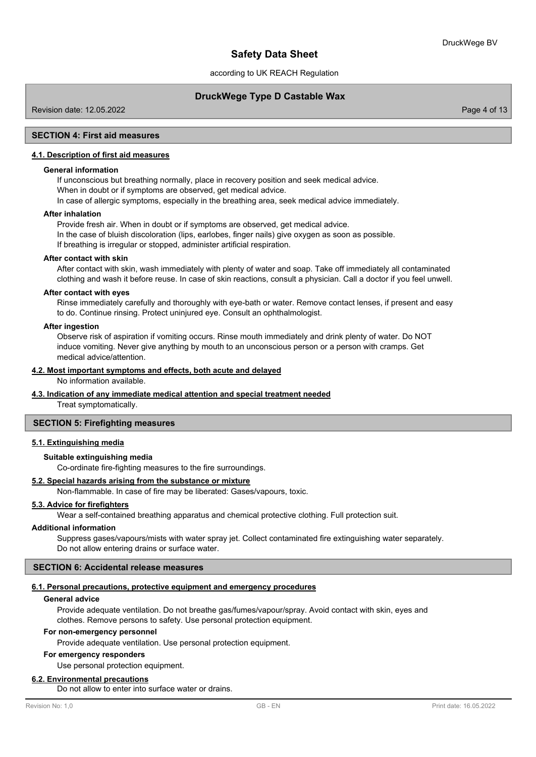according to UK REACH Regulation

## **DruckWege Type D Castable Wax**

Revision date: 12.05.2022 Page 4 of 13

### **SECTION 4: First aid measures**

## **4.1. Description of first aid measures**

### **General information**

If unconscious but breathing normally, place in recovery position and seek medical advice. When in doubt or if symptoms are observed, get medical advice. In case of allergic symptoms, especially in the breathing area, seek medical advice immediately.

#### **After inhalation**

Provide fresh air. When in doubt or if symptoms are observed, get medical advice. In the case of bluish discoloration (lips, earlobes, finger nails) give oxygen as soon as possible. If breathing is irregular or stopped, administer artificial respiration.

#### **After contact with skin**

After contact with skin, wash immediately with plenty of water and soap. Take off immediately all contaminated clothing and wash it before reuse. In case of skin reactions, consult a physician. Call a doctor if you feel unwell.

#### **After contact with eyes**

Rinse immediately carefully and thoroughly with eye-bath or water. Remove contact lenses, if present and easy to do. Continue rinsing. Protect uninjured eye. Consult an ophthalmologist.

#### **After ingestion**

Observe risk of aspiration if vomiting occurs. Rinse mouth immediately and drink plenty of water. Do NOT induce vomiting. Never give anything by mouth to an unconscious person or a person with cramps. Get medical advice/attention.

#### **4.2. Most important symptoms and effects, both acute and delayed**

No information available.

### **4.3. Indication of any immediate medical attention and special treatment needed**

Treat symptomatically.

### **SECTION 5: Firefighting measures**

## **5.1. Extinguishing media**

### **Suitable extinguishing media**

Co-ordinate fire-fighting measures to the fire surroundings.

#### **5.2. Special hazards arising from the substance or mixture**

Non-flammable. In case of fire may be liberated: Gases/vapours, toxic.

### **5.3. Advice for firefighters**

Wear a self-contained breathing apparatus and chemical protective clothing. Full protection suit.

## **Additional information**

Suppress gases/vapours/mists with water spray jet. Collect contaminated fire extinguishing water separately. Do not allow entering drains or surface water.

## **SECTION 6: Accidental release measures**

#### **6.1. Personal precautions, protective equipment and emergency procedures**

#### **General advice**

Provide adequate ventilation. Do not breathe gas/fumes/vapour/spray. Avoid contact with skin, eyes and clothes. Remove persons to safety. Use personal protection equipment.

#### **For non-emergency personnel**

Provide adequate ventilation. Use personal protection equipment.

#### **For emergency responders**

Use personal protection equipment.

### **6.2. Environmental precautions**

Do not allow to enter into surface water or drains.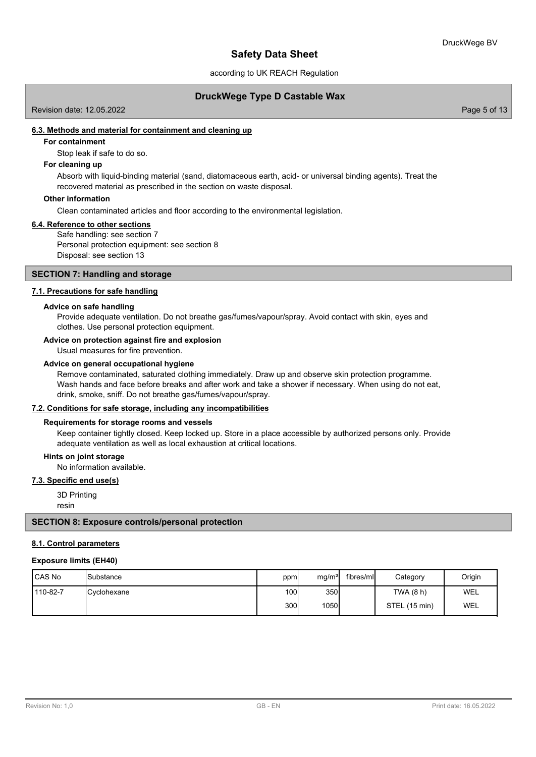according to UK REACH Regulation

## **DruckWege Type D Castable Wax**

Revision date: 12.05.2022 Page 5 of 13

## **6.3. Methods and material for containment and cleaning up**

## **For containment**

Stop leak if safe to do so.

### **For cleaning up**

Absorb with liquid-binding material (sand, diatomaceous earth, acid- or universal binding agents). Treat the recovered material as prescribed in the section on waste disposal.

#### **Other information**

Clean contaminated articles and floor according to the environmental legislation.

#### **6.4. Reference to other sections**

Safe handling: see section 7 Personal protection equipment: see section 8 Disposal: see section 13

#### **SECTION 7: Handling and storage**

### **7.1. Precautions for safe handling**

#### **Advice on safe handling**

Provide adequate ventilation. Do not breathe gas/fumes/vapour/spray. Avoid contact with skin, eyes and clothes. Use personal protection equipment.

#### **Advice on protection against fire and explosion**

Usual measures for fire prevention.

#### **Advice on general occupational hygiene**

Remove contaminated, saturated clothing immediately. Draw up and observe skin protection programme. Wash hands and face before breaks and after work and take a shower if necessary. When using do not eat, drink, smoke, sniff. Do not breathe gas/fumes/vapour/spray.

#### **7.2. Conditions for safe storage, including any incompatibilities**

### **Requirements for storage rooms and vessels**

Keep container tightly closed. Keep locked up. Store in a place accessible by authorized persons only. Provide adequate ventilation as well as local exhaustion at critical locations.

#### **Hints on joint storage**

No information available.

## **7.3. Specific end use(s)**

3D Printing

resin

### **SECTION 8: Exposure controls/personal protection**

#### **8.1. Control parameters**

#### **Exposure limits (EH40)**

| l CAS No | <b>ISubstance</b>    | ppm  | mg/m <sup>3</sup> | fibres/ml | Category      | Origin |
|----------|----------------------|------|-------------------|-----------|---------------|--------|
| 110-82-7 | <b>IC</b> vclohexane | 100l | 350               |           | TWA (8 h)     | WEL    |
|          |                      | 300l | 1050              |           | STEL (15 min) | WEL    |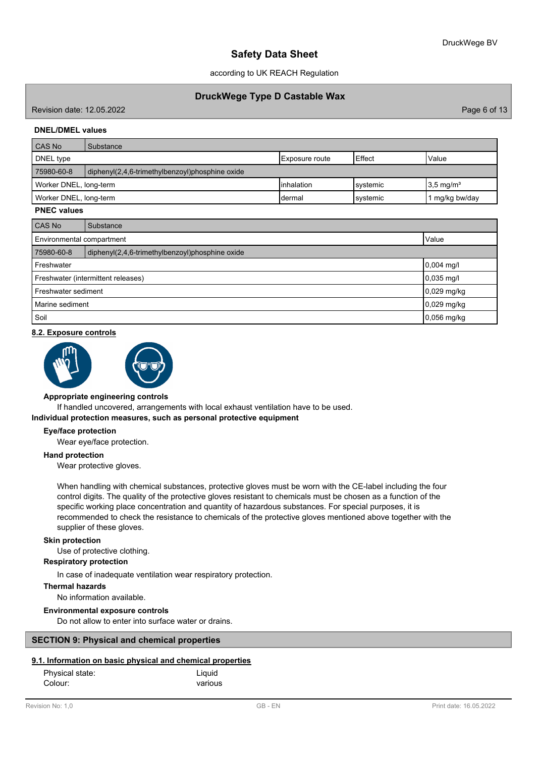according to UK REACH Regulation

## **DruckWege Type D Castable Wax**

Revision date: 12.05.2022 Page 6 of 13

### **DNEL/DMEL values**

| <b>CAS No</b>                                                             | Substance                                       |                |           |              |  |  |  |
|---------------------------------------------------------------------------|-------------------------------------------------|----------------|-----------|--------------|--|--|--|
| DNEL type                                                                 |                                                 | Exposure route | Effect    | <b>Value</b> |  |  |  |
| 75980-60-8                                                                | diphenyl(2,4,6-trimethylbenzoyl)phosphine oxide |                |           |              |  |  |  |
| linhalation<br>$3.5 \text{ mg/m}^3$<br>Worker DNEL, long-term<br>systemic |                                                 |                |           |              |  |  |  |
| Worker DNEL, long-term                                                    |                                                 | Idermal        | lsystemic | mg/kg bw/day |  |  |  |

## **PNEC values**

| CAS No                                                        | Substance                          |               |  |  |
|---------------------------------------------------------------|------------------------------------|---------------|--|--|
|                                                               | Environmental compartment<br>Value |               |  |  |
| 75980-60-8<br>diphenyl(2,4,6-trimethylbenzoyl)phosphine oxide |                                    |               |  |  |
| Freshwater                                                    |                                    | $0,004$ mg/l  |  |  |
| Freshwater (intermittent releases)                            |                                    | $0,035$ mg/l  |  |  |
| Freshwater sediment                                           |                                    | $0,029$ mg/kg |  |  |
| Marine sediment                                               |                                    | $0,029$ mg/kg |  |  |
| Soil                                                          |                                    | 0,056 mg/kg   |  |  |

#### **8.2. Exposure controls**



#### **Appropriate engineering controls**

If handled uncovered, arrangements with local exhaust ventilation have to be used.

#### **Individual protection measures, such as personal protective equipment**

#### **Eye/face protection**

Wear eye/face protection.

#### **Hand protection**

Wear protective gloves.

When handling with chemical substances, protective gloves must be worn with the CE-label including the four control digits. The quality of the protective gloves resistant to chemicals must be chosen as a function of the specific working place concentration and quantity of hazardous substances. For special purposes, it is recommended to check the resistance to chemicals of the protective gloves mentioned above together with the supplier of these gloves.

#### **Skin protection**

Use of protective clothing.

#### **Respiratory protection**

In case of inadequate ventilation wear respiratory protection.

### **Thermal hazards**

No information available.

#### **Environmental exposure controls**

Do not allow to enter into surface water or drains.

## **SECTION 9: Physical and chemical properties**

#### **9.1. Information on basic physical and chemical properties**

| Physical state: | Liguid  |
|-----------------|---------|
| Colour:         | various |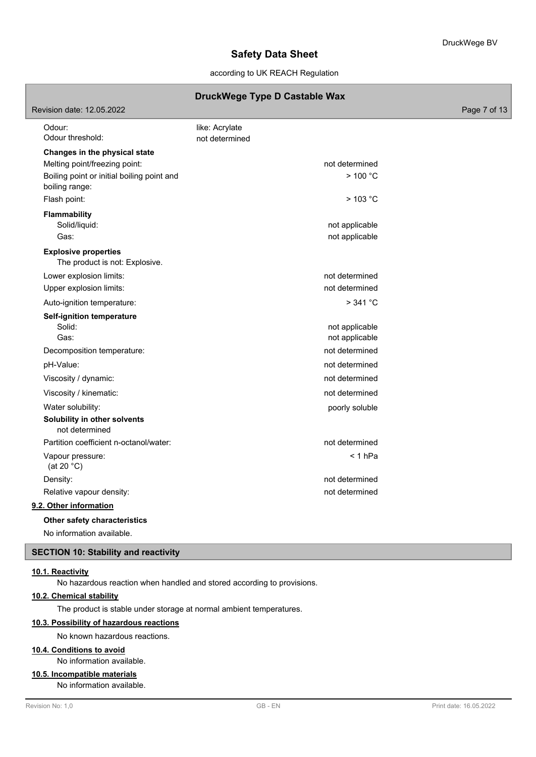## according to UK REACH Regulation

## **DruckWege Type D Castable Wax**

| Revision date: 12.05.2022                                      |                                  | Page 7 of 13 |
|----------------------------------------------------------------|----------------------------------|--------------|
| Odour:<br>Odour threshold:                                     | like: Acrylate<br>not determined |              |
| Changes in the physical state<br>Melting point/freezing point: | not determined                   |              |
| Boiling point or initial boiling point and<br>boiling range:   | > 100 °C                         |              |
| Flash point:                                                   | $>$ 103 °C                       |              |
| <b>Flammability</b><br>Solid/liquid:                           | not applicable                   |              |
| Gas:                                                           | not applicable                   |              |
| <b>Explosive properties</b><br>The product is not: Explosive.  |                                  |              |
| Lower explosion limits:                                        | not determined                   |              |
| Upper explosion limits:                                        | not determined                   |              |
| Auto-ignition temperature:                                     | >341 °C                          |              |
| <b>Self-ignition temperature</b><br>Solid:<br>Gas:             | not applicable<br>not applicable |              |
| Decomposition temperature:                                     | not determined                   |              |
| pH-Value:                                                      | not determined                   |              |
| Viscosity / dynamic:                                           | not determined                   |              |
| Viscosity / kinematic:                                         | not determined                   |              |
| Water solubility:                                              | poorly soluble                   |              |
| Solubility in other solvents<br>not determined                 |                                  |              |
| Partition coefficient n-octanol/water:                         | not determined                   |              |
| Vapour pressure:<br>(at 20 $°C$ )                              | $< 1$ hPa                        |              |
| Density:                                                       | not determined                   |              |
| Relative vapour density:                                       | not determined                   |              |
| 9.2. Other information                                         |                                  |              |
| Other safety characteristics                                   |                                  |              |
| No information available.                                      |                                  |              |

## **SECTION 10: Stability and reactivity**

### **10.1. Reactivity**

No hazardous reaction when handled and stored according to provisions.

## **10.2. Chemical stability**

The product is stable under storage at normal ambient temperatures.

## **10.3. Possibility of hazardous reactions**

No known hazardous reactions.

## **10.4. Conditions to avoid**

No information available.

## **10.5. Incompatible materials**

No information available.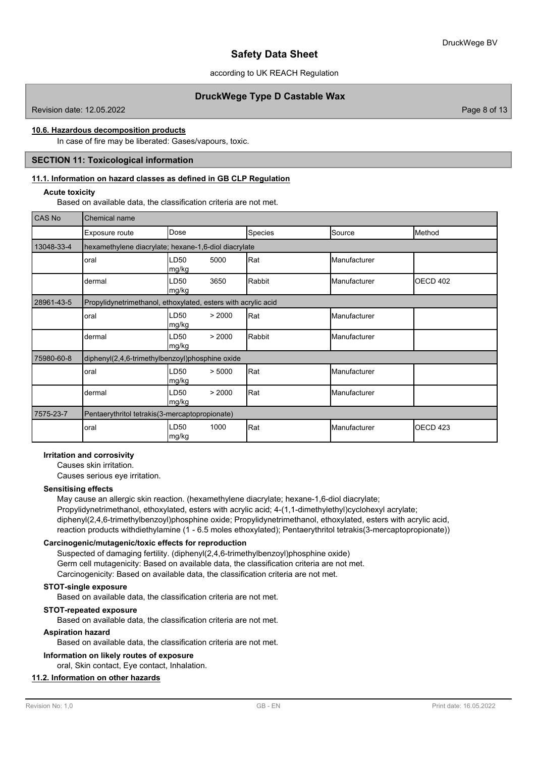according to UK REACH Regulation

## **DruckWege Type D Castable Wax**

Revision date: 12.05.2022 Page 8 of 13

### **10.6. Hazardous decomposition products**

In case of fire may be liberated: Gases/vapours, toxic.

## **SECTION 11: Toxicological information**

### **11.1. Information on hazard classes as defined in GB CLP Regulation**

#### **Acute toxicity**

Based on available data, the classification criteria are not met.

| CAS No     | Chemical name                                                 |                                                      |         |  |                     |                     |  |  |  |
|------------|---------------------------------------------------------------|------------------------------------------------------|---------|--|---------------------|---------------------|--|--|--|
|            | Exposure route                                                | Dose                                                 | Species |  | Source              | Method              |  |  |  |
| 13048-33-4 |                                                               | hexamethylene diacrylate; hexane-1,6-diol diacrylate |         |  |                     |                     |  |  |  |
|            | oral                                                          | LD50<br>5000<br>mg/kg                                | Rat     |  | Manufacturer        |                     |  |  |  |
|            | dermal                                                        | LD50<br>3650<br>mg/kg                                | Rabbit  |  | <b>Manufacturer</b> | <b>OECD 402</b>     |  |  |  |
| 28961-43-5 | Propylidynetrimethanol, ethoxylated, esters with acrylic acid |                                                      |         |  |                     |                     |  |  |  |
|            | oral                                                          | LD50<br>> 2000<br>mg/kg                              | Rat     |  | Manufacturer        |                     |  |  |  |
|            | dermal                                                        | LD50<br>> 2000<br>mg/kg                              | Rabbit  |  | Manufacturer        |                     |  |  |  |
| 75980-60-8 | diphenyl(2,4,6-trimethylbenzoyl)phosphine oxide               |                                                      |         |  |                     |                     |  |  |  |
|            | oral                                                          | LD50<br>> 5000<br>mg/kg                              | Rat     |  | Manufacturer        |                     |  |  |  |
|            | dermal                                                        | LD50<br>> 2000<br>mg/kg                              | Rat     |  | Manufacturer        |                     |  |  |  |
| 7575-23-7  | Pentaerythritol tetrakis(3-mercaptopropionate)                |                                                      |         |  |                     |                     |  |  |  |
|            | oral                                                          | LD50<br>1000<br> mg/kg                               | Rat     |  | Manufacturer        | OECD <sub>423</sub> |  |  |  |

#### **Irritation and corrosivity**

Causes skin irritation.

Causes serious eye irritation.

#### **Sensitising effects**

May cause an allergic skin reaction. (hexamethylene diacrylate; hexane-1,6-diol diacrylate; Propylidynetrimethanol, ethoxylated, esters with acrylic acid; 4-(1,1-dimethylethyl)cyclohexyl acrylate; diphenyl(2,4,6-trimethylbenzoyl)phosphine oxide; Propylidynetrimethanol, ethoxylated, esters with acrylic acid, reaction products withdiethylamine (1 - 6.5 moles ethoxylated); Pentaerythritol tetrakis(3-mercaptopropionate))

### **Carcinogenic/mutagenic/toxic effects for reproduction**

Suspected of damaging fertility. (diphenyl(2,4,6-trimethylbenzoyl)phosphine oxide) Germ cell mutagenicity: Based on available data, the classification criteria are not met. Carcinogenicity: Based on available data, the classification criteria are not met.

## **STOT-single exposure**

Based on available data, the classification criteria are not met.

### **STOT-repeated exposure**

Based on available data, the classification criteria are not met.

### **Aspiration hazard**

Based on available data, the classification criteria are not met.

### **Information on likely routes of exposure**

oral, Skin contact, Eye contact, Inhalation.

## **11.2. Information on other hazards**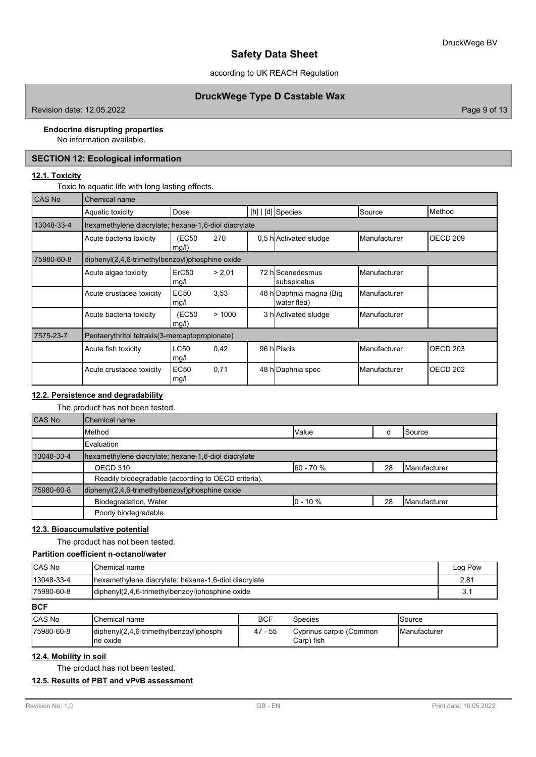according to UK REACH Regulation

## **DruckWege Type D Castable Wax**

Revision date: 12.05.2022 **Page 9 of 13** 

### **Endocrine disrupting properties**

No information available.

# **SECTION 12: Ecological information**

### **12.1. Toxicity**

Toxic to aquatic life with long lasting effects.

| CAS No     | Chemical name                                        |                     |        |  |                                        |                       |                     |  |  |
|------------|------------------------------------------------------|---------------------|--------|--|----------------------------------------|-----------------------|---------------------|--|--|
|            | Aquatic toxicity                                     | Dose                |        |  | [h] $\vert$ [d] Species                | Source                | Method              |  |  |
| 13048-33-4 | hexamethylene diacrylate; hexane-1,6-diol diacrylate |                     |        |  |                                        |                       |                     |  |  |
|            | Acute bacteria toxicity                              | (EC50<br>mg/l)      | 270    |  | 0.5 h Activated sludge                 | <b>Manufacturer</b>   | OECD <sub>209</sub> |  |  |
| 75980-60-8 | diphenyl(2,4,6-trimethylbenzoyl)phosphine oxide      |                     |        |  |                                        |                       |                     |  |  |
|            | Acute algae toxicity                                 | ErC50<br>mg/l       | > 2,01 |  | 72 hlScenedesmus<br>subspicatus        | <b>I</b> Manufacturer |                     |  |  |
|            | Acute crustacea toxicity                             | <b>EC50</b><br>mg/l | 3,53   |  | 48 h Daphnia magna (Big<br>water flea) | <b>Manufacturer</b>   |                     |  |  |
|            | Acute bacteria toxicity                              | (EC50<br>mg/l)      | >1000  |  | 3 h Activated sludge                   | <b>I</b> Manufacturer |                     |  |  |
| 7575-23-7  | Pentaerythritol tetrakis (3-mercaptopropionate)      |                     |        |  |                                        |                       |                     |  |  |
|            | Acute fish toxicity                                  | LC50<br>mg/l        | 0,42   |  | 96 hPiscis                             | <b>Manufacturer</b>   | OECD <sub>203</sub> |  |  |
|            | Acute crustacea toxicity                             | <b>EC50</b><br>mg/l | 0,71   |  | 48 h Daphnia spec                      | <b>I</b> Manufacturer | OECD 202            |  |  |

## **12.2. Persistence and degradability**

The product has not been tested.

| <b>CAS No</b> | Chemical name                                        |               |    |                       |  |  |  |
|---------------|------------------------------------------------------|---------------|----|-----------------------|--|--|--|
|               | Method                                               | <b>Value</b>  |    | <b>Source</b>         |  |  |  |
|               | Evaluation                                           |               |    |                       |  |  |  |
| 13048-33-4    | hexamethylene diacrylate; hexane-1,6-diol diacrylate |               |    |                       |  |  |  |
|               | OECD 310                                             | $160 - 70 \%$ | 28 | <b>IManufacturer</b>  |  |  |  |
|               | Readily biodegradable (according to OECD criteria).  |               |    |                       |  |  |  |
| 75980-60-8    | diphenyl(2,4,6-trimethylbenzoyl)phosphine oxide      |               |    |                       |  |  |  |
|               | Biodegradation, Water                                | $10 - 10 \%$  | 28 | <b>I</b> Manufacturer |  |  |  |
|               | Poorly biodegradable.                                |               |    |                       |  |  |  |

### **12.3. Bioaccumulative potential**

The product has not been tested.

## **Partition coefficient n-octanol/water**

| <b>ICAS No</b> | lChemical name                                        | Log Pow |
|----------------|-------------------------------------------------------|---------|
| 13048-33-4     | Ihexamethylene diacrylate: hexane-1.6-diol diacrylate | 2.81    |
| 175980-60-8    | diphenyl(2,4,6-trimethylbenzoyl)phosphine oxide       | ູບ      |

**BCF**

| <b>CAS No</b> | 'Chemical name                                       | <b>BCF</b> | <b>Species</b>                        | Source                |
|---------------|------------------------------------------------------|------------|---------------------------------------|-----------------------|
| 175980-60-8   | diphenyl(2,4,6-trimethylbenzoyl)phosphi<br>Ine oxide | 47 - 55    | Cyprinus carpio (Common<br>Carp) fish | <b>I</b> Manufacturer |

## **12.4. Mobility in soil**

The product has not been tested.

### **12.5. Results of PBT and vPvB assessment**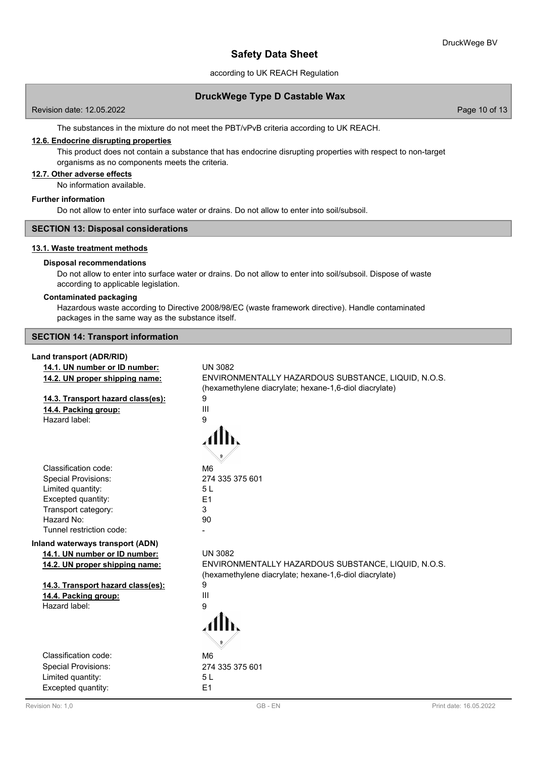according to UK REACH Regulation

## **DruckWege Type D Castable Wax**

Page 10 of 13

The substances in the mixture do not meet the PBT/vPvB criteria according to UK REACH.

## **12.6. Endocrine disrupting properties**

This product does not contain a substance that has endocrine disrupting properties with respect to non-target organisms as no components meets the criteria.

### **12.7. Other adverse effects**

No information available.

### **Further information**

Do not allow to enter into surface water or drains. Do not allow to enter into soil/subsoil.

### **SECTION 13: Disposal considerations**

### **13.1. Waste treatment methods**

#### **Disposal recommendations**

Do not allow to enter into surface water or drains. Do not allow to enter into soil/subsoil. Dispose of waste according to applicable legislation.

### **Contaminated packaging**

Hazardous waste according to Directive 2008/98/EC (waste framework directive). Handle contaminated packages in the same way as the substance itself.

**SECTION 14: Transport information**

### **Land transport (ADR/RID)**

| 14.1. UN number or ID number:     | <b>UN 3082</b>                                         |
|-----------------------------------|--------------------------------------------------------|
| 14.2. UN proper shipping name:    | ENVIRONMENTALLY HAZARDOUS SUBSTANCE, LIQUID, N.O.S.    |
|                                   | (hexamethylene diacrylate; hexane-1,6-diol diacrylate) |
| 14.3. Transport hazard class(es): | 9                                                      |
| 14.4. Packing group:              | $\mathbf{III}$                                         |
| Hazard label:                     | 9                                                      |
|                                   |                                                        |
| Classification code:              | M <sub>6</sub>                                         |
| <b>Special Provisions:</b>        | 274 335 375 601                                        |
| Limited quantity:                 | 5L                                                     |
| Excepted quantity:                | E <sub>1</sub>                                         |
| Transport category:               | 3                                                      |
| Hazard No:                        | 90                                                     |
| Tunnel restriction code:          |                                                        |
| Inland waterways transport (ADN)  |                                                        |
| 14.1. UN number or ID number:     | <b>UN 3082</b>                                         |
| 14.2. UN proper shipping name:    | ENVIRONMENTALLY HAZARDOUS SUBSTANCE, LIQUID, N.O.S.    |
|                                   | (hexamethylene diacrylate; hexane-1,6-diol diacrylate) |
| 14.3. Transport hazard class(es): | 9                                                      |
| 14.4. Packing group:              | Ш                                                      |
| Hazard label:                     | 9                                                      |
|                                   |                                                        |
| Classification code:              | M <sub>6</sub>                                         |
| <b>Special Provisions:</b>        | 274 335 375 601                                        |
| Limited quantity:                 | 5L                                                     |
| Excepted quantity:                | E1                                                     |
|                                   |                                                        |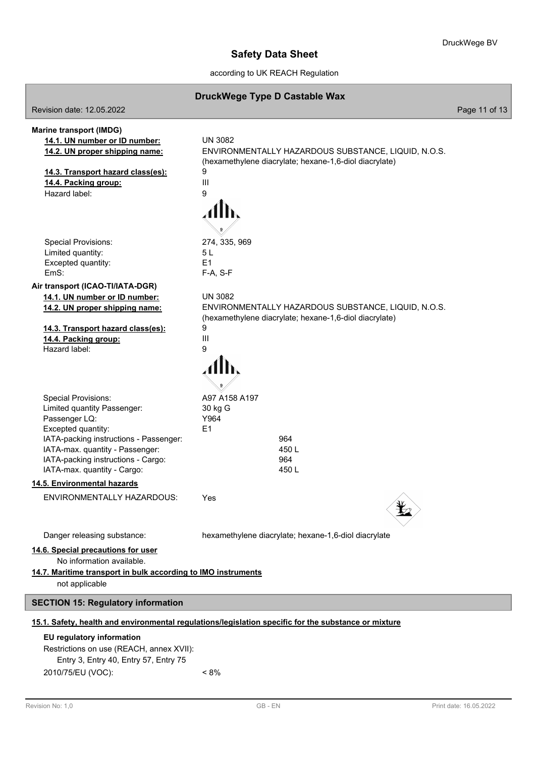ī

# **Safety Data Sheet**

according to UK REACH Regulation

|                                                                                                                                                                                                                                                    | DruckWege Type D Castable Wax                                                                                                   |               |
|----------------------------------------------------------------------------------------------------------------------------------------------------------------------------------------------------------------------------------------------------|---------------------------------------------------------------------------------------------------------------------------------|---------------|
| Revision date: 12.05.2022                                                                                                                                                                                                                          |                                                                                                                                 | Page 11 of 13 |
| <b>Marine transport (IMDG)</b><br>14.1. UN number or ID number:<br>14.2. UN proper shipping name:                                                                                                                                                  | <b>UN 3082</b><br>ENVIRONMENTALLY HAZARDOUS SUBSTANCE, LIQUID, N.O.S.                                                           |               |
| 14.3. Transport hazard class(es):<br>14.4. Packing group:<br>Hazard label:                                                                                                                                                                         | (hexamethylene diacrylate; hexane-1,6-diol diacrylate)<br>9<br>$\mathbf{III}$<br>9                                              |               |
| <b>Special Provisions:</b><br>Limited quantity:<br>Excepted quantity:<br>FmS:                                                                                                                                                                      | 274, 335, 969<br>5 L<br>E <sub>1</sub><br>F-A, S-F                                                                              |               |
| Air transport (ICAO-TI/IATA-DGR)<br>14.1. UN number or ID number:<br>14.2. UN proper shipping name:                                                                                                                                                | <b>UN 3082</b><br>ENVIRONMENTALLY HAZARDOUS SUBSTANCE, LIQUID, N.O.S.<br>(hexamethylene diacrylate; hexane-1,6-diol diacrylate) |               |
| 14.3. Transport hazard class(es):<br>14.4. Packing group:<br>Hazard label:                                                                                                                                                                         | 9<br>Ш<br>9                                                                                                                     |               |
| <b>Special Provisions:</b><br>Limited quantity Passenger:<br>Passenger LQ:<br>Excepted quantity:<br>IATA-packing instructions - Passenger:<br>IATA-max. quantity - Passenger:<br>IATA-packing instructions - Cargo:<br>IATA-max. quantity - Cargo: | A97 A158 A197<br>30 kg G<br>Y964<br>E <sub>1</sub><br>964<br>450L<br>964<br>450L                                                |               |
| 14.5. Environmental hazards                                                                                                                                                                                                                        |                                                                                                                                 |               |
| ENVIRONMENTALLY HAZARDOUS:                                                                                                                                                                                                                         | Yes                                                                                                                             |               |
| Danger releasing substance:<br>14.6. Special precautions for user<br>No information available.<br>14.7. Maritime transport in bulk according to IMO instruments<br>not applicable                                                                  | hexamethylene diacrylate; hexane-1,6-diol diacrylate                                                                            |               |
| <b>SECTION 15: Regulatory information</b>                                                                                                                                                                                                          |                                                                                                                                 |               |
|                                                                                                                                                                                                                                                    | 15.1. Safety, health and environmental regulations/legislation specific for the substance or mixture                            |               |
| EU regulatory information<br>Restrictions on use (REACH, annex XVII):<br>Entry 3, Entry 40, Entry 57, Entry 75                                                                                                                                     |                                                                                                                                 |               |

2010/75/EU (VOC): < 8%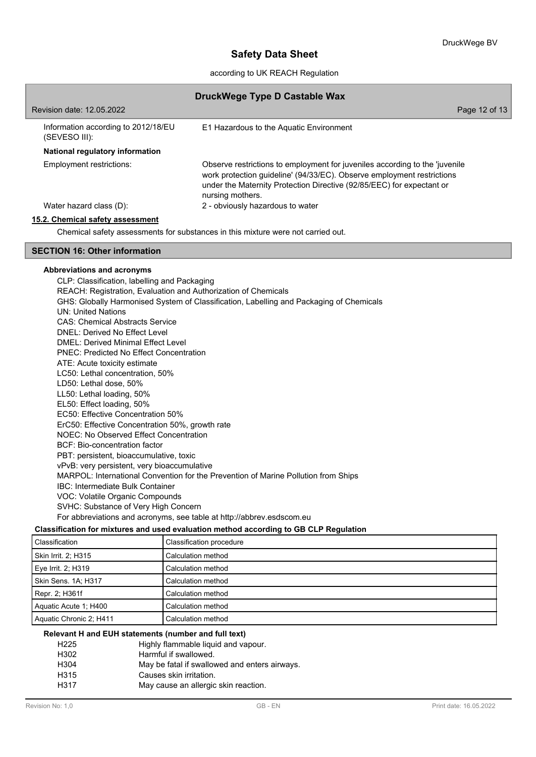according to UK REACH Regulation

| DruckWege Type D Castable Wax                                                    |                                                                                                                                                                                                                                                    |  |
|----------------------------------------------------------------------------------|----------------------------------------------------------------------------------------------------------------------------------------------------------------------------------------------------------------------------------------------------|--|
| Revision date: 12.05.2022                                                        | Page 12 of 13                                                                                                                                                                                                                                      |  |
| Information according to 2012/18/EU<br>(SEVESO III):                             | E1 Hazardous to the Aquatic Environment                                                                                                                                                                                                            |  |
| National regulatory information                                                  |                                                                                                                                                                                                                                                    |  |
| Employment restrictions:                                                         | Observe restrictions to employment for juveniles according to the 'juvenile<br>work protection guideline' (94/33/EC). Observe employment restrictions<br>under the Maternity Protection Directive (92/85/EEC) for expectant or<br>nursing mothers. |  |
| Water hazard class (D):                                                          | 2 - obviously hazardous to water                                                                                                                                                                                                                   |  |
| 15.2. Chemical safety assessment                                                 |                                                                                                                                                                                                                                                    |  |
| Chemical safety assessments for substances in this mixture were not carried out. |                                                                                                                                                                                                                                                    |  |
| <b>SECTION 16: Other information</b>                                             |                                                                                                                                                                                                                                                    |  |

#### **Abbreviations and acronyms**

CLP: Classification, labelling and Packaging REACH: Registration, Evaluation and Authorization of Chemicals GHS: Globally Harmonised System of Classification, Labelling and Packaging of Chemicals UN: United Nations CAS: Chemical Abstracts Service DNEL: Derived No Effect Level DMEL: Derived Minimal Effect Level PNEC: Predicted No Effect Concentration ATE: Acute toxicity estimate LC50: Lethal concentration, 50% LD50: Lethal dose, 50% LL50: Lethal loading, 50% EL50: Effect loading, 50% EC50: Effective Concentration 50% ErC50: Effective Concentration 50%, growth rate NOEC: No Observed Effect Concentration BCF: Bio-concentration factor PBT: persistent, bioaccumulative, toxic vPvB: very persistent, very bioaccumulative MARPOL: International Convention for the Prevention of Marine Pollution from Ships IBC: Intermediate Bulk Container VOC: Volatile Organic Compounds SVHC: Substance of Very High Concern For abbreviations and acronyms, see table at http://abbrev.esdscom.eu

## **Classification for mixtures and used evaluation method according to GB CLP Regulation**

| Classification          | Classification procedure |
|-------------------------|--------------------------|
| Skin Irrit. 2: H315     | Calculation method       |
| Eye Irrit. 2; H319      | Calculation method       |
| Skin Sens. 1A; H317     | Calculation method       |
| Repr. 2; H361f          | Calculation method       |
| Aquatic Acute 1: H400   | Calculation method       |
| Aquatic Chronic 2; H411 | Calculation method       |

## **Relevant H and EUH statements (number and full text)**

| H <sub>225</sub> | Highly flammable liquid and vapour.           |
|------------------|-----------------------------------------------|
| H302             | Harmful if swallowed.                         |
| H304             | May be fatal if swallowed and enters airways. |
| H315             | Causes skin irritation.                       |
| H317             | May cause an allergic skin reaction.          |
|                  |                                               |